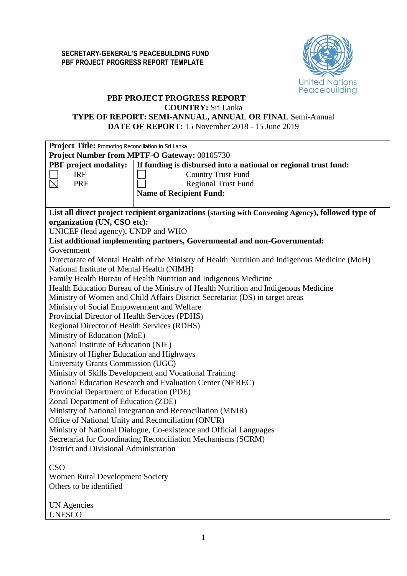

# **PBF PROJECT PROGRESS REPORT**

## **COUNTRY:** Sri Lanka

**TYPE OF REPORT: SEMI-ANNUAL, ANNUAL OR FINAL** Semi-Annual

**DATE OF REPORT:** 15 November 2018 - 15 June 2019

| Project Title: Promoting Reconciliation in Sri Lanka          |                                                                                                    |  |  |  |  |  |  |
|---------------------------------------------------------------|----------------------------------------------------------------------------------------------------|--|--|--|--|--|--|
| Project Number from MPTF-O Gateway: 00105730                  |                                                                                                    |  |  |  |  |  |  |
| <b>PBF</b> project modality:                                  | If funding is disbursed into a national or regional trust fund:                                    |  |  |  |  |  |  |
| <b>IRF</b>                                                    | <b>Country Trust Fund</b>                                                                          |  |  |  |  |  |  |
| $\boxtimes$<br>PRF                                            | <b>Regional Trust Fund</b>                                                                         |  |  |  |  |  |  |
|                                                               | <b>Name of Recipient Fund:</b>                                                                     |  |  |  |  |  |  |
|                                                               |                                                                                                    |  |  |  |  |  |  |
| organization (UN, CSO etc):                                   | List all direct project recipient organizations (starting with Convening Agency), followed type of |  |  |  |  |  |  |
| UNICEF (lead agency), UNDP and WHO                            |                                                                                                    |  |  |  |  |  |  |
|                                                               | List additional implementing partners, Governmental and non-Governmental:                          |  |  |  |  |  |  |
| Government                                                    |                                                                                                    |  |  |  |  |  |  |
|                                                               | Directorate of Mental Health of the Ministry of Health Nutrition and Indigenous Medicine (MoH)     |  |  |  |  |  |  |
| National Institute of Mental Health (NIMH)                    |                                                                                                    |  |  |  |  |  |  |
|                                                               | Family Health Bureau of Health Nutrition and Indigenous Medicine                                   |  |  |  |  |  |  |
|                                                               | Health Education Bureau of the Ministry of Health Nutrition and Indigenous Medicine                |  |  |  |  |  |  |
|                                                               | Ministry of Women and Child Affairs District Secretariat (DS) in target areas                      |  |  |  |  |  |  |
| Ministry of Social Empowerment and Welfare                    |                                                                                                    |  |  |  |  |  |  |
| Provincial Director of Health Services (PDHS)                 |                                                                                                    |  |  |  |  |  |  |
| Regional Director of Health Services (RDHS)                   |                                                                                                    |  |  |  |  |  |  |
| Ministry of Education (MoE)                                   |                                                                                                    |  |  |  |  |  |  |
| National Institute of Education (NIE)                         |                                                                                                    |  |  |  |  |  |  |
| Ministry of Higher Education and Highways                     |                                                                                                    |  |  |  |  |  |  |
| University Grants Commission (UGC)                            |                                                                                                    |  |  |  |  |  |  |
|                                                               | Ministry of Skills Development and Vocational Training                                             |  |  |  |  |  |  |
|                                                               | National Education Research and Evaluation Center (NEREC)                                          |  |  |  |  |  |  |
| Provincial Department of Education (PDE)                      |                                                                                                    |  |  |  |  |  |  |
| Zonal Department of Education (ZDE)                           |                                                                                                    |  |  |  |  |  |  |
|                                                               | Ministry of National Integration and Reconciliation (MNIR)                                         |  |  |  |  |  |  |
|                                                               | Office of National Unity and Reconciliation (ONUR)                                                 |  |  |  |  |  |  |
|                                                               | Ministry of National Dialogue, Co-existence and Official Languages                                 |  |  |  |  |  |  |
| Secretariat for Coordinating Reconciliation Mechanisms (SCRM) |                                                                                                    |  |  |  |  |  |  |
| District and Divisional Administration                        |                                                                                                    |  |  |  |  |  |  |
| <b>CSO</b>                                                    |                                                                                                    |  |  |  |  |  |  |
| <b>Women Rural Development Society</b>                        |                                                                                                    |  |  |  |  |  |  |
| Others to be identified                                       |                                                                                                    |  |  |  |  |  |  |
|                                                               |                                                                                                    |  |  |  |  |  |  |
| <b>UN</b> Agencies                                            |                                                                                                    |  |  |  |  |  |  |
| <b>UNESCO</b>                                                 |                                                                                                    |  |  |  |  |  |  |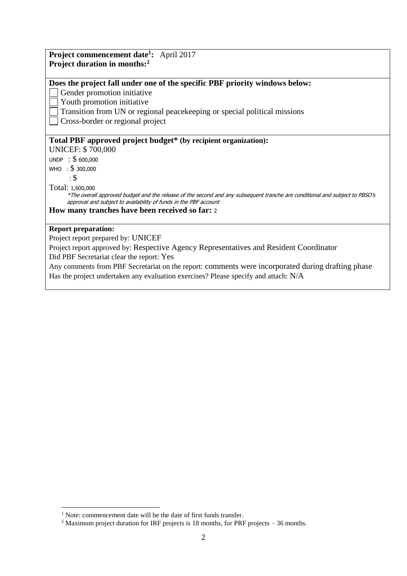| <b>Project commencement date<sup>1</sup>:</b> April 2017                                                                                                                                        |
|-------------------------------------------------------------------------------------------------------------------------------------------------------------------------------------------------|
| Project duration in months: <sup>2</sup>                                                                                                                                                        |
|                                                                                                                                                                                                 |
| Does the project fall under one of the specific PBF priority windows below:                                                                                                                     |
| Gender promotion initiative                                                                                                                                                                     |
| Youth promotion initiative                                                                                                                                                                      |
| Transition from UN or regional peace keeping or special political missions                                                                                                                      |
| Cross-border or regional project                                                                                                                                                                |
| Total PBF approved project budget* (by recipient organization):                                                                                                                                 |
| <b>UNICEF: \$700,000</b>                                                                                                                                                                        |
|                                                                                                                                                                                                 |
| UNDP : \$600,000                                                                                                                                                                                |
| WHO : \$ 300,000                                                                                                                                                                                |
| $\cdot$ \$                                                                                                                                                                                      |
| Total: 1,600,000                                                                                                                                                                                |
| *The overall approved budget and the release of the second and any subsequent tranche are conditional and subject to PBSO's<br>approval and subject to availability of funds in the PBF account |
| How many tranches have been received so far: 2                                                                                                                                                  |
|                                                                                                                                                                                                 |
| <b>Report preparation:</b>                                                                                                                                                                      |
| Project report prepared by: UNICEF                                                                                                                                                              |
| Project report approved by: Respective Agency Representatives and Resident Coordinator                                                                                                          |
| Did PBF Secretariat clear the report: Yes                                                                                                                                                       |
| Any comments from PBF Secretariat on the report: comments were incorporated during drafting phase                                                                                               |
| Has the project undertaken any evaluation exercises? Please specify and attach: N/A                                                                                                             |

<sup>&</sup>lt;u>.</u> <sup>1</sup> Note: commencement date will be the date of first funds transfer.

<sup>&</sup>lt;sup>2</sup> Maximum project duration for IRF projects is 18 months, for PRF projects  $-36$  months.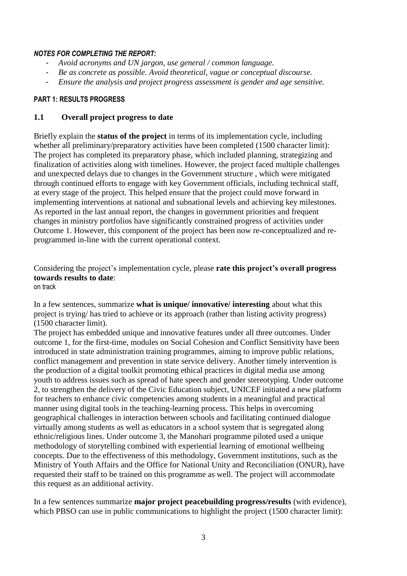## *NOTES FOR COMPLETING THE REPORT:*

- *Avoid acronyms and UN jargon, use general / common language.*
- *Be as concrete as possible. Avoid theoretical, vague or conceptual discourse.*
- *Ensure the analysis and project progress assessment is gender and age sensitive.*

#### **PART 1: RESULTS PROGRESS**

## **1.1 Overall project progress to date**

Briefly explain the **status of the project** in terms of its implementation cycle, including whether all preliminary/preparatory activities have been completed (1500 character limit): The project has completed its preparatory phase, which included planning, strategizing and finalization of activities along with timelines. However, the project faced multiple challenges and unexpected delays due to changes in the Government structure , which were mitigated through continued efforts to engage with key Government officials, including technical staff, at every stage of the project. This helped ensure that the project could move forward in implementing interventions at national and subnational levels and achieving key milestones. As reported in the last annual report, the changes in government priorities and frequent changes in ministry portfolios have significantly constrained progress of activities under Outcome 1. However, this component of the project has been now re-conceptualized and reprogrammed in-line with the current operational context.

Considering the project's implementation cycle, please **rate this project's overall progress towards results to date**: on track

In a few sentences, summarize **what is unique/ innovative/ interesting** about what this project is trying/ has tried to achieve or its approach (rather than listing activity progress)

(1500 character limit).

The project has embedded unique and innovative features under all three outcomes. Under outcome 1, for the first-time, modules on Social Cohesion and Conflict Sensitivity have been introduced in state administration training programmes, aiming to improve public relations, conflict management and prevention in state service delivery. Another timely intervention is the production of a digital toolkit promoting ethical practices in digital media use among youth to address issues such as spread of hate speech and gender stereotyping. Under outcome 2, to strengthen the delivery of the Civic Education subject, UNICEF initiated a new platform for teachers to enhance civic competencies among students in a meaningful and practical manner using digital tools in the teaching-learning process. This helps in overcoming geographical challenges in interaction between schools and facilitating continued dialogue virtually among students as well as educators in a school system that is segregated along ethnic/religious lines. Under outcome 3, the Manohari programme piloted used a unique methodology of storytelling combined with experiential learning of emotional wellbeing concepts. Due to the effectiveness of this methodology, Government institutions, such as the Ministry of Youth Affairs and the Office for National Unity and Reconciliation (ONUR), have requested their staff to be trained on this programme as well. The project will accommodate this request as an additional activity.

In a few sentences summarize **major project peacebuilding progress/results** (with evidence), which PBSO can use in public communications to highlight the project (1500 character limit):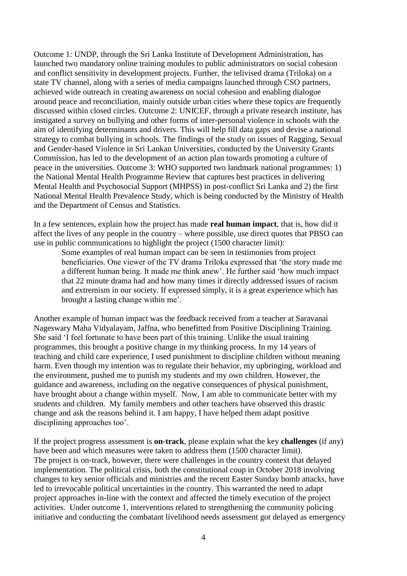Outcome 1: UNDP, through the Sri Lanka Institute of Development Administration, has launched two mandatory online training modules to public administrators on social cohesion and conflict sensitivity in development projects. Further, the telivised drama (Triloka) on a state TV channel, along with a series of media campaigns launched through CSO partners, achieved wide outreach in creating awareness on social cohesion and enabling dialogue around peace and reconciliation, mainly outside urban cities where these topics are frequently discussed within closed circles. Outcome 2: UNICEF, through a private research institute, has instigated a survey on bullying and other forms of inter-personal violence in schools with the aim of identifying determinants and drivers. This will help fill data gaps and devise a national strategy to combat bullying in schools. The findings of the study on issues of Ragging, Sexual and Gender-based Violence in Sri Lankan Universities, conducted by the University Grants Commission, has led to the development of an action plan towards promoting a culture of peace in the universities. Outcome 3: WHO supported two landmark national programmes: 1) the National Mental Health Programme Review that captures best practices in delivering Mental Health and Psychosocial Support (MHPSS) in post-conflict Sri Lanka and 2) the first National Mental Health Prevalence Study, which is being conducted by the Ministry of Health and the Department of Census and Statistics.

In a few sentences, explain how the project has made **real human impact**, that is, how did it affect the lives of any people in the country – where possible, use direct quotes that PBSO can use in public communications to highlight the project (1500 character limit):

Some examples of real human impact can be seen in testimonies from project beneficiaries. One viewer of the TV drama Triloka expressed that 'the story made me a different human being. It made me think anew'. He further said 'how much impact that 22 minute drama had and how many times it directly addressed issues of racism and extremism in our society. If expressed simply, it is a great experience which has brought a lasting change within me'.

Another example of human impact was the feedback received from a teacher at Saravanai Nageswary Maha Vidyalayam, Jaffna, who benefitted from Positive Disciplining Training. She said 'I feel fortunate to have been part of this training. Unlike the usual training programmes, this brought a positive change in my thinking process. In my 14 years of teaching and child care experience, I used punishment to discipline children without meaning harm. Even though my intention was to regulate their behavior, my upbringing, workload and the environment, pushed me to punish my students and my own children. However, the guidance and awareness, including on the negative consequences of physical punishment, have brought about a change within myself. Now, I am able to communicate better with my students and children. My family members and other teachers have observed this drastic change and ask the reasons behind it. I am happy, I have helped them adapt positive disciplining approaches too'.

If the project progress assessment is **on-track**, please explain what the key **challenges** (if any) have been and which measures were taken to address them (1500 character limit). The project is on-track, however, there were challenges in the country context that delayed implementation. The political crisis, both the constitutional coup in October 2018 involving changes to key senior officials and ministries and the recent Easter Sunday bomb attacks, have led to irrevocable political uncertainties in the country. This warranted the need to adapt project approaches in-line with the context and affected the timely execution of the project activities. Under outcome 1, interventions related to strengthening the community policing initiative and conducting the combatant livelihood needs assessment got delayed as emergency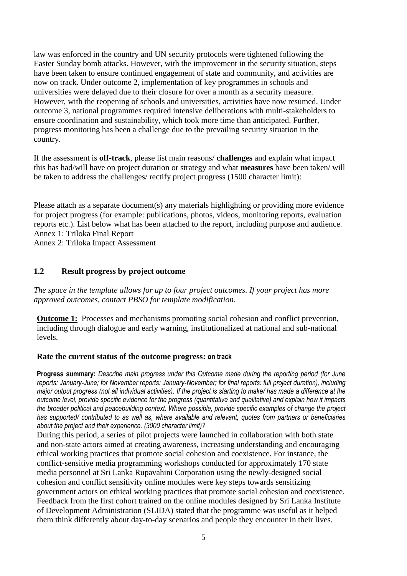law was enforced in the country and UN security protocols were tightened following the Easter Sunday bomb attacks. However, with the improvement in the security situation, steps have been taken to ensure continued engagement of state and community, and activities are now on track. Under outcome 2, implementation of key programmes in schools and universities were delayed due to their closure for over a month as a security measure. However, with the reopening of schools and universities, activities have now resumed. Under outcome 3, national programmes required intensive deliberations with multi-stakeholders to ensure coordination and sustainability, which took more time than anticipated. Further, progress monitoring has been a challenge due to the prevailing security situation in the country.

If the assessment is **off-track**, please list main reasons/ **challenges** and explain what impact this has had/will have on project duration or strategy and what **measures** have been taken/ will be taken to address the challenges/ rectify project progress (1500 character limit):

Please attach as a separate document(s) any materials highlighting or providing more evidence for project progress (for example: publications, photos, videos, monitoring reports, evaluation reports etc.). List below what has been attached to the report, including purpose and audience. Annex 1: Triloka Final Report

Annex 2: Triloka Impact Assessment

## **1.2 Result progress by project outcome**

*The space in the template allows for up to four project outcomes. If your project has more approved outcomes, contact PBSO for template modification.*

**Outcome 1:** Processes and mechanisms promoting social cohesion and conflict prevention, including through dialogue and early warning, institutionalized at national and sub-national levels.

## **Rate the current status of the outcome progress: on track**

**Progress summary:** *Describe main progress under this Outcome made during the reporting period (for June reports: January-June; for November reports: January-November; for final reports: full project duration), including major output progress (not all individual activities). If the project is starting to make/ has made a difference at the outcome level, provide specific evidence for the progress (quantitative and qualitative) and explain how it impacts the broader political and peacebuilding context. Where possible, provide specific examples of change the project has supported/ contributed to as well as, where available and relevant, quotes from partners or beneficiaries about the project and their experience. (3000 character limit)?* 

During this period, a series of pilot projects were launched in collaboration with both state and non-state actors aimed at creating awareness, increasing understanding and encouraging ethical working practices that promote social cohesion and coexistence. For instance, the conflict-sensitive media programming workshops conducted for approximately 170 state media personnel at Sri Lanka Rupavahini Corporation using the newly-designed social cohesion and conflict sensitivity online modules were key steps towards sensitizing government actors on ethical working practices that promote social cohesion and coexistence. Feedback from the first cohort trained on the online modules designed by Sri Lanka Institute of Development Administration (SLIDA) stated that the programme was useful as it helped them think differently about day-to-day scenarios and people they encounter in their lives.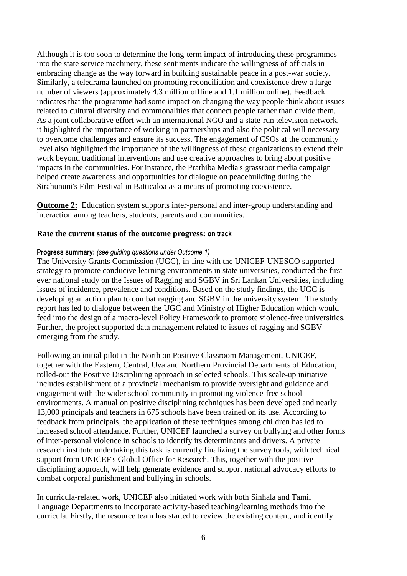Although it is too soon to determine the long-term impact of introducing these programmes into the state service machinery, these sentiments indicate the willingness of officials in embracing change as the way forward in building sustainable peace in a post-war society. Similarly, a teledrama launched on promoting reconciliation and coexistence drew a large number of viewers (approximately 4.3 million offline and 1.1 million online). Feedback indicates that the programme had some impact on changing the way people think about issues related to cultural diversity and commonalities that connect people rather than divide them. As a joint collaborative effort with an international NGO and a state-run television network, it highlighted the importance of working in partnerships and also the political will necessary to overcome challemges and ensure its success. The engagement of CSOs at the community level also highlighted the importance of the willingness of these organizations to extend their work beyond traditional interventions and use creative approaches to bring about positive impacts in the communities. For instance, the Prathiba Media's grassroot media campaign helped create awareness and opportunities for dialogue on peacebuilding during the Sirahununi's Film Festival in Batticaloa as a means of promoting coexistence.

**Outcome 2:** Education system supports inter-personal and inter-group understanding and interaction among teachers, students, parents and communities.

## **Rate the current status of the outcome progress: on track**

#### **Progress summary:** *(see guiding questions under Outcome 1)*

The University Grants Commission (UGC), in-line with the UNICEF-UNESCO supported strategy to promote conducive learning environments in state universities, conducted the firstever national study on the Issues of Ragging and SGBV in Sri Lankan Universities, including issues of incidence, prevalence and conditions. Based on the study findings, the UGC is developing an action plan to combat ragging and SGBV in the university system. The study report has led to dialogue between the UGC and Ministry of Higher Education which would feed into the design of a macro-level Policy Framework to promote violence-free universities. Further, the project supported data management related to issues of ragging and SGBV emerging from the study.

Following an initial pilot in the North on Positive Classroom Management, UNICEF, together with the Eastern, Central, Uva and Northern Provincial Departments of Education, rolled-out the Positive Disciplining approach in selected schools. This scale-up initiative includes establishment of a provincial mechanism to provide oversight and guidance and engagement with the wider school community in promoting violence-free school environments. A manual on positive disciplining techniques has been developed and nearly 13,000 principals and teachers in 675 schools have been trained on its use. According to feedback from principals, the application of these techniques among children has led to increased school attendance. Further, UNICEF launched a survey on bullying and other forms of inter-personal violence in schools to identify its determinants and drivers. A private research institute undertaking this task is currently finalizing the survey tools, with technical support from UNICEF's Global Office for Research. This, together with the positive disciplining approach, will help generate evidence and support national advocacy efforts to combat corporal punishment and bullying in schools.

In curricula-related work, UNICEF also initiated work with both Sinhala and Tamil Language Departments to incorporate activity-based teaching/learning methods into the curricula. Firstly, the resource team has started to review the existing content, and identify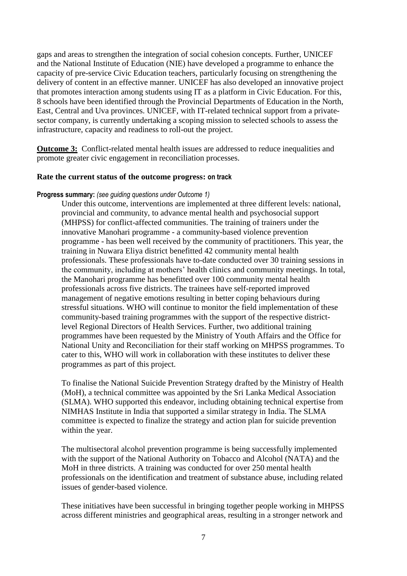gaps and areas to strengthen the integration of social cohesion concepts. Further, UNICEF and the National Institute of Education (NIE) have developed a programme to enhance the capacity of pre-service Civic Education teachers, particularly focusing on strengthening the delivery of content in an effective manner. UNICEF has also developed an innovative project that promotes interaction among students using IT as a platform in Civic Education. For this, 8 schools have been identified through the Provincial Departments of Education in the North, East, Central and Uva provinces. UNICEF, with IT-related technical support from a privatesector company, is currently undertaking a scoping mission to selected schools to assess the infrastructure, capacity and readiness to roll-out the project.

**Outcome 3:** Conflict-related mental health issues are addressed to reduce inequalities and promote greater civic engagement in reconciliation processes.

## **Rate the current status of the outcome progress: on track**

#### **Progress summary:** *(see guiding questions under Outcome 1)*

Under this outcome, interventions are implemented at three different levels: national, provincial and community, to advance mental health and psychosocial support (MHPSS) for conflict-affected communities. The training of trainers under the innovative Manohari programme - a community-based violence prevention programme - has been well received by the community of practitioners. This year, the training in Nuwara Eliya district benefitted 42 community mental health professionals. These professionals have to-date conducted over 30 training sessions in the community, including at mothers' health clinics and community meetings. In total, the Manohari programme has benefitted over 100 community mental health professionals across five districts. The trainees have self-reported improved management of negative emotions resulting in better coping behaviours during stressful situations. WHO will continue to monitor the field implementation of these community-based training programmes with the support of the respective districtlevel Regional Directors of Health Services. Further, two additional training programmes have been requested by the Ministry of Youth Affairs and the Office for National Unity and Reconciliation for their staff working on MHPSS programmes. To cater to this, WHO will work in collaboration with these institutes to deliver these programmes as part of this project.

To finalise the National Suicide Prevention Strategy drafted by the Ministry of Health (MoH), a technical committee was appointed by the Sri Lanka Medical Association (SLMA). WHO supported this endeavor, including obtaining technical expertise from NIMHAS Institute in India that supported a similar strategy in India. The SLMA committee is expected to finalize the strategy and action plan for suicide prevention within the year.

The multisectoral alcohol prevention programme is being successfully implemented with the support of the National Authority on Tobacco and Alcohol (NATA) and the MoH in three districts. A training was conducted for over 250 mental health professionals on the identification and treatment of substance abuse, including related issues of gender-based violence.

These initiatives have been successful in bringing together people working in MHPSS across different ministries and geographical areas, resulting in a stronger network and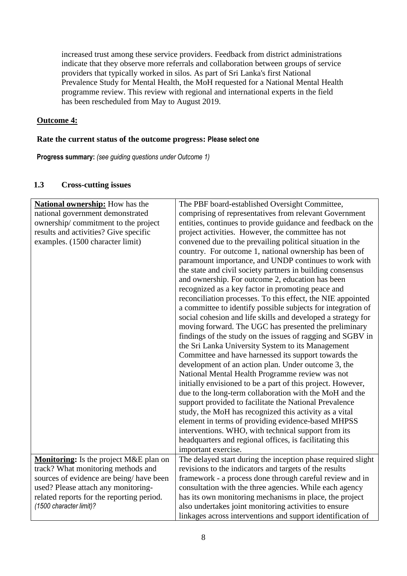increased trust among these service providers. Feedback from district administrations indicate that they observe more referrals and collaboration between groups of service providers that typically worked in silos. As part of Sri Lanka's first National Prevalence Study for Mental Health, the MoH requested for a National Mental Health programme review. This review with regional and international experts in the field has been rescheduled from May to August 2019.

## **Outcome 4:**

## **Rate the current status of the outcome progress: Please select one**

**Progress summary:** *(see guiding questions under Outcome 1)* 

## **1.3 Cross-cutting issues**

| <b>National ownership:</b> How has the    | The PBF board-established Oversight Committee,               |
|-------------------------------------------|--------------------------------------------------------------|
| national government demonstrated          | comprising of representatives from relevant Government       |
| ownership/commitment to the project       | entities, continues to provide guidance and feedback on the  |
| results and activities? Give specific     | project activities. However, the committee has not           |
| examples. (1500 character limit)          | convened due to the prevailing political situation in the    |
|                                           | country. For outcome 1, national ownership has been of       |
|                                           | paramount importance, and UNDP continues to work with        |
|                                           | the state and civil society partners in building consensus   |
|                                           | and ownership. For outcome 2, education has been             |
|                                           | recognized as a key factor in promoting peace and            |
|                                           | reconciliation processes. To this effect, the NIE appointed  |
|                                           | a committee to identify possible subjects for integration of |
|                                           | social cohesion and life skills and developed a strategy for |
|                                           | moving forward. The UGC has presented the preliminary        |
|                                           | findings of the study on the issues of ragging and SGBV in   |
|                                           | the Sri Lanka University System to its Management            |
|                                           | Committee and have harnessed its support towards the         |
|                                           | development of an action plan. Under outcome 3, the          |
|                                           | National Mental Health Programme review was not              |
|                                           | initially envisioned to be a part of this project. However,  |
|                                           | due to the long-term collaboration with the MoH and the      |
|                                           | support provided to facilitate the National Prevalence       |
|                                           | study, the MoH has recognized this activity as a vital       |
|                                           | element in terms of providing evidence-based MHPSS           |
|                                           | interventions. WHO, with technical support from its          |
|                                           | headquarters and regional offices, is facilitating this      |
|                                           | important exercise.                                          |
| Monitoring: Is the project M&E plan on    | The delayed start during the inception phase required slight |
| track? What monitoring methods and        | revisions to the indicators and targets of the results       |
| sources of evidence are being/have been   | framework - a process done through careful review and in     |
| used? Please attach any monitoring-       | consultation with the three agencies. While each agency      |
| related reports for the reporting period. | has its own monitoring mechanisms in place, the project      |
| (1500 character limit)?                   | also undertakes joint monitoring activities to ensure        |
|                                           | linkages across interventions and support identification of  |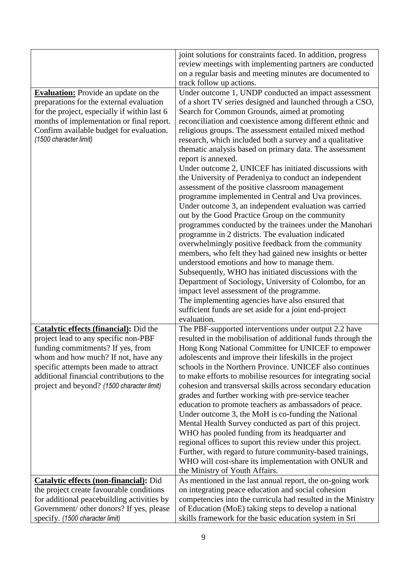|                                               | joint solutions for constraints faced. In addition, progress                                                  |
|-----------------------------------------------|---------------------------------------------------------------------------------------------------------------|
|                                               | review meetings with implementing partners are conducted                                                      |
|                                               | on a regular basis and meeting minutes are documented to                                                      |
|                                               | track follow up actions.                                                                                      |
| <b>Evaluation:</b> Provide an update on the   | Under outcome 1, UNDP conducted an impact assessment                                                          |
| preparations for the external evaluation      | of a short TV series designed and launched through a CSO,                                                     |
| for the project, especially if within last 6  | Search for Common Grounds, aimed at promoting                                                                 |
| months of implementation or final report.     | reconciliation and coexistence among different ethnic and                                                     |
| Confirm available budget for evaluation.      | religious groups. The assessment entailed mixed method                                                        |
| (1500 character limit)                        | research, which included both a survey and a qualitative                                                      |
|                                               | thematic analysis based on primary data. The assessment                                                       |
|                                               | report is annexed.                                                                                            |
|                                               | Under outcome 2, UNICEF has initiated discussions with                                                        |
|                                               | the University of Peradeniya to conduct an independent                                                        |
|                                               | assessment of the positive classroom management                                                               |
|                                               | programme implemented in Central and Uva provinces.                                                           |
|                                               | Under outcome 3, an independent evaluation was carried                                                        |
|                                               | out by the Good Practice Group on the community                                                               |
|                                               | programmes conducted by the trainees under the Manohari                                                       |
|                                               | programme in 2 districts. The evaluation indicated                                                            |
|                                               | overwhelmingly positive feedback from the community                                                           |
|                                               | members, who felt they had gained new insights or better                                                      |
|                                               | understood emotions and how to manage them.                                                                   |
|                                               | Subsequently, WHO has initiated discussions with the                                                          |
|                                               | Department of Sociology, University of Colombo, for an                                                        |
|                                               | impact level assessment of the programme.                                                                     |
|                                               | The implementing agencies have also ensured that                                                              |
|                                               | sufficient funds are set aside for a joint end-project                                                        |
|                                               | evaluation.                                                                                                   |
| Catalytic effects (financial): Did the        | The PBF-supported interventions under output 2.2 have                                                         |
| project lead to any specific non-PBF          | resulted in the mobilisation of additional funds through the                                                  |
| funding commitments? If yes, from             | Hong Kong National Committee for UNICEF to empower                                                            |
| whom and how much? If not, have any           | adolescents and improve their lifeskills in the project                                                       |
| specific attempts been made to attract        | schools in the Northern Province. UNICEF also continues                                                       |
| additional financial contributions to the     | to make efforts to mobilise resources for integrating social                                                  |
| project and beyond? (1500 character limit)    | cohesion and transversal skills across secondary education                                                    |
|                                               | grades and further working with pre-service teacher                                                           |
|                                               | education to promote teachers as ambassadors of peace.<br>Under outcome 3, the MoH is co-funding the National |
|                                               | Mental Health Survey conducted as part of this project.                                                       |
|                                               | WHO has pooled funding from its headquarter and                                                               |
|                                               | regional offices to suport this review under this project.                                                    |
|                                               | Further, with regard to future community-based trainings,                                                     |
|                                               | WHO will cost-share its implementation with ONUR and                                                          |
|                                               | the Ministry of Youth Affairs.                                                                                |
| <b>Catalytic effects (non-financial):</b> Did | As mentioned in the last annual report, the on-going work                                                     |
| the project create favourable conditions      | on integrating peace education and social cohesion                                                            |
| for additional peacebuilding activities by    | competencies into the curricula had resulted in the Ministry                                                  |
| Government/ other donors? If yes, please      | of Education (MoE) taking steps to develop a national                                                         |
| specify. (1500 character limit)               | skills framework for the basic education system in Sri                                                        |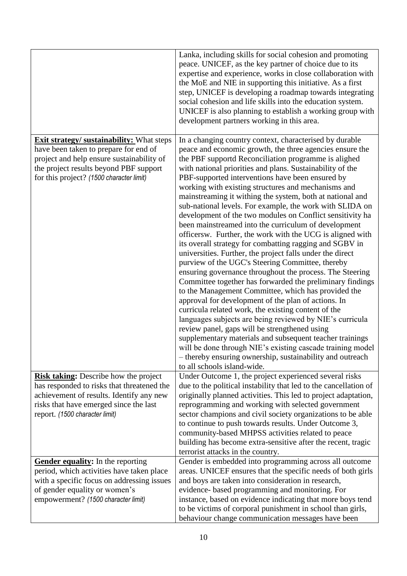|                                                                                                                                                                                                                              | Lanka, including skills for social cohesion and promoting<br>peace. UNICEF, as the key partner of choice due to its<br>expertise and experience, works in close collaboration with<br>the MoE and NIE in supporting this initiative. As a first<br>step, UNICEF is developing a roadmap towards integrating<br>social cohesion and life skills into the education system.<br>UNICEF is also planning to establish a working group with<br>development partners working in this area.                                                                                                                                                                                                                                                                                                                                                                                                                                                                                                                                                                                                                                                                                                                                                                                                                                                                                                                                                                                        |
|------------------------------------------------------------------------------------------------------------------------------------------------------------------------------------------------------------------------------|-----------------------------------------------------------------------------------------------------------------------------------------------------------------------------------------------------------------------------------------------------------------------------------------------------------------------------------------------------------------------------------------------------------------------------------------------------------------------------------------------------------------------------------------------------------------------------------------------------------------------------------------------------------------------------------------------------------------------------------------------------------------------------------------------------------------------------------------------------------------------------------------------------------------------------------------------------------------------------------------------------------------------------------------------------------------------------------------------------------------------------------------------------------------------------------------------------------------------------------------------------------------------------------------------------------------------------------------------------------------------------------------------------------------------------------------------------------------------------|
| <b>Exit strategy/ sustainability:</b> What steps<br>have been taken to prepare for end of<br>project and help ensure sustainability of<br>the project results beyond PBF support<br>for this project? (1500 character limit) | In a changing country context, characterised by durable<br>peace and economic growth, the three agencies ensure the<br>the PBF supportd Reconciliation programme is alighed<br>with national priorities and plans. Sustainability of the<br>PBF-supported interventions have been ensured by<br>working with existing structures and mechanisms and<br>mainstreaming it withing the system, both at national and<br>sub-national levels. For example, the work with SLIDA on<br>development of the two modules on Conflict sensitivity ha<br>been mainstreamed into the curriculum of development<br>officersw. Further, the work with the UCG is aligned with<br>its overall strategy for combatting ragging and SGBV in<br>universities. Further, the project falls under the direct<br>purview of the UGC's Steering Committee, thereby<br>ensuring governance throughout the process. The Steering<br>Committee together has forwarded the preliminary findings<br>to the Management Committee, which has provided the<br>approval for development of the plan of actions. In<br>curricula related work, the existing content of the<br>languages subjects are being reviewed by NIE's curricula<br>review panel, gaps will be strengthened using<br>supplementary materials and subsequent teacher trainings<br>will be done through NIE's existing cascade training model<br>- thereby ensuring ownership, sustainability and outreach<br>to all schools island-wide. |
| <b>Risk taking:</b> Describe how the project<br>has responded to risks that threatened the<br>achievement of results. Identify any new<br>risks that have emerged since the last<br>report. (1500 character limit)           | Under Outcome 1, the project experienced several risks<br>due to the political instability that led to the cancellation of<br>originally planned activities. This led to project adaptation,<br>reprogramming and working with selected government<br>sector champions and civil society organizations to be able<br>to continue to push towards results. Under Outcome 3,<br>community-based MHPSS activities related to peace<br>building has become extra-sensitive after the recent, tragic<br>terrorist attacks in the country.                                                                                                                                                                                                                                                                                                                                                                                                                                                                                                                                                                                                                                                                                                                                                                                                                                                                                                                                        |
| Gender equality: In the reporting<br>period, which activities have taken place<br>with a specific focus on addressing issues<br>of gender equality or women's<br>empowerment? (1500 character limit)                         | Gender is embedded into programming across all outcome<br>areas. UNICEF ensures that the specific needs of both girls<br>and boys are taken into consideration in research,<br>evidence- based programming and monitoring. For<br>instance, based on evidence indicating that more boys tend<br>to be victims of corporal punishment in school than girls,<br>behaviour change communication messages have been                                                                                                                                                                                                                                                                                                                                                                                                                                                                                                                                                                                                                                                                                                                                                                                                                                                                                                                                                                                                                                                             |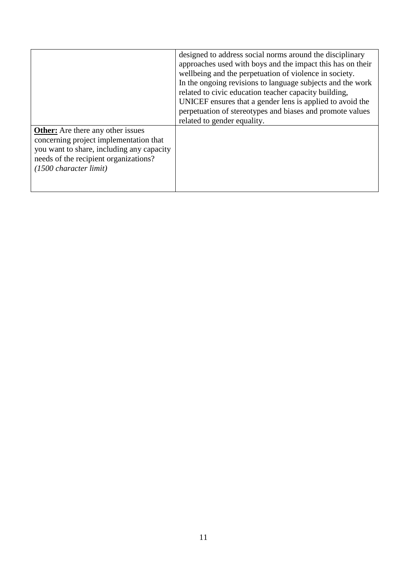|                                                                                                                                                                                                    | designed to address social norms around the disciplinary<br>approaches used with boys and the impact this has on their<br>wellbeing and the perpetuation of violence in society.<br>In the ongoing revisions to language subjects and the work<br>related to civic education teacher capacity building,<br>UNICEF ensures that a gender lens is applied to avoid the<br>perpetuation of stereotypes and biases and promote values<br>related to gender equality. |
|----------------------------------------------------------------------------------------------------------------------------------------------------------------------------------------------------|------------------------------------------------------------------------------------------------------------------------------------------------------------------------------------------------------------------------------------------------------------------------------------------------------------------------------------------------------------------------------------------------------------------------------------------------------------------|
| <b>Other:</b> Are there any other issues<br>concerning project implementation that<br>you want to share, including any capacity<br>needs of the recipient organizations?<br>(1500 character limit) |                                                                                                                                                                                                                                                                                                                                                                                                                                                                  |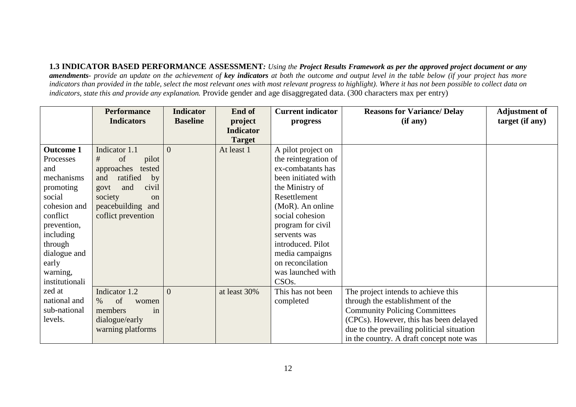**1.3 INDICATOR BASED PERFORMANCE ASSESSMENT***: Using the Project Results Framework as per the approved project document or any amendments- provide an update on the achievement of key indicators at both the outcome and output level in the table below (if your project has more indicators than provided in the table, select the most relevant ones with most relevant progress to highlight). Where it has not been possible to collect data on indicators, state this and provide any explanation.* Provide gender and age disaggregated data. (300 characters max per entry)

|                  | <b>Performance</b>       | <b>Indicator</b> | End of           | <b>Current indicator</b> | <b>Reasons for Variance/Delay</b>          | <b>Adjustment of</b> |
|------------------|--------------------------|------------------|------------------|--------------------------|--------------------------------------------|----------------------|
|                  | <b>Indicators</b>        | <b>Baseline</b>  | project          | progress                 | (if any)                                   | target (if any)      |
|                  |                          |                  | <b>Indicator</b> |                          |                                            |                      |
|                  |                          |                  | <b>Target</b>    |                          |                                            |                      |
| <b>Outcome 1</b> | Indicator 1.1            | $\Omega$         | At least 1       | A pilot project on       |                                            |                      |
| Processes        | of<br>#<br>pilot         |                  |                  | the reintegration of     |                                            |                      |
| and              | approaches<br>tested     |                  |                  | ex-combatants has        |                                            |                      |
| mechanisms       | ratified<br>and<br>by    |                  |                  | been initiated with      |                                            |                      |
| promoting        | and<br>civil<br>govt     |                  |                  | the Ministry of          |                                            |                      |
| social           | society<br><sub>on</sub> |                  |                  | Resettlement             |                                            |                      |
| cohesion and     | peacebuilding and        |                  |                  | (MoR). An online         |                                            |                      |
| conflict         | coffict prevention       |                  |                  | social cohesion          |                                            |                      |
| prevention,      |                          |                  |                  | program for civil        |                                            |                      |
| including        |                          |                  |                  | servents was             |                                            |                      |
| through          |                          |                  |                  | introduced. Pilot        |                                            |                      |
| dialogue and     |                          |                  |                  | media campaigns          |                                            |                      |
| early            |                          |                  |                  | on reconcilation         |                                            |                      |
| warning,         |                          |                  |                  | was launched with        |                                            |                      |
| institutionali   |                          |                  |                  | CSO <sub>s</sub> .       |                                            |                      |
| zed at           | Indicator 1.2            | $\Omega$         | at least 30%     | This has not been        | The project intends to achieve this        |                      |
| national and     | of<br>$\%$<br>women      |                  |                  | completed                | through the establishment of the           |                      |
| sub-national     | members<br>in            |                  |                  |                          | <b>Community Policing Committees</b>       |                      |
| levels.          | dialogue/early           |                  |                  |                          | (CPCs). However, this has been delayed     |                      |
|                  | warning platforms        |                  |                  |                          | due to the prevailing politicial situation |                      |
|                  |                          |                  |                  |                          | in the country. A draft concept note was   |                      |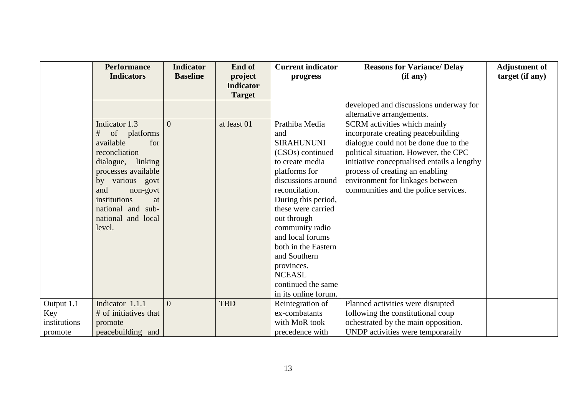|                                              | <b>Performance</b><br><b>Indicators</b>                                                                                                                                                                                              | <b>Indicator</b><br><b>Baseline</b> | End of<br>project<br><b>Indicator</b><br><b>Target</b> | <b>Current indicator</b><br>progress                                                                                                                                                                                                                                                                                                                                           | <b>Reasons for Variance/ Delay</b><br>(if any)                                                                                                                                                                                                                                                                            | <b>Adjustment of</b><br>target (if any) |
|----------------------------------------------|--------------------------------------------------------------------------------------------------------------------------------------------------------------------------------------------------------------------------------------|-------------------------------------|--------------------------------------------------------|--------------------------------------------------------------------------------------------------------------------------------------------------------------------------------------------------------------------------------------------------------------------------------------------------------------------------------------------------------------------------------|---------------------------------------------------------------------------------------------------------------------------------------------------------------------------------------------------------------------------------------------------------------------------------------------------------------------------|-----------------------------------------|
|                                              |                                                                                                                                                                                                                                      |                                     |                                                        |                                                                                                                                                                                                                                                                                                                                                                                | developed and discussions underway for<br>alternative arrangements.                                                                                                                                                                                                                                                       |                                         |
|                                              | Indicator 1.3<br>#<br>of platforms<br>available<br>for<br>reconcliation<br>dialogue, linking<br>processes available<br>by various govt<br>and<br>non-govt<br>institutions<br>at<br>national and sub-<br>national and local<br>level. | $\Omega$                            | at least 01                                            | Prathiba Media<br>and<br><b>SIRAHUNUNI</b><br>(CSO <sub>s</sub> ) continued<br>to create media<br>platforms for<br>discussions around<br>reconcilation.<br>During this period,<br>these were carried<br>out through<br>community radio<br>and local forums<br>both in the Eastern<br>and Southern<br>provinces.<br><b>NCEASL</b><br>continued the same<br>in its online forum. | <b>SCRM</b> activities which mainly<br>incorporate creating peacebuilding<br>dialogue could not be done due to the<br>political situation. However, the CPC<br>initiative conceptualised entails a lengthy<br>process of creating an enabling<br>environment for linkages between<br>communities and the police services. |                                         |
| Output 1.1<br>Key<br>institutions<br>promote | Indicator 1.1.1<br># of initiatives that<br>promote<br>peacebuilding and                                                                                                                                                             | $\overline{0}$                      | <b>TBD</b>                                             | Reintegration of<br>ex-combatants<br>with MoR took<br>precedence with                                                                                                                                                                                                                                                                                                          | Planned activities were disrupted<br>following the constitutional coup<br>ochestrated by the main opposition.<br>UNDP activities were temporaraily                                                                                                                                                                        |                                         |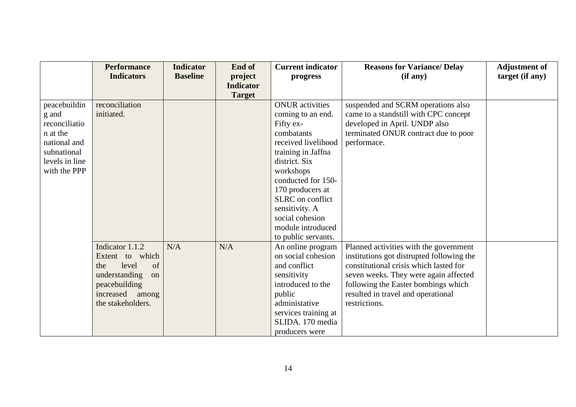|                | <b>Performance</b>  | <b>Indicator</b> | End of           | <b>Current indicator</b> | <b>Reasons for Variance/ Delay</b>        | <b>Adjustment of</b> |
|----------------|---------------------|------------------|------------------|--------------------------|-------------------------------------------|----------------------|
|                | <b>Indicators</b>   | <b>Baseline</b>  | project          | progress                 | (if any)                                  | target (if any)      |
|                |                     |                  | <b>Indicator</b> |                          |                                           |                      |
|                |                     |                  | <b>Target</b>    |                          |                                           |                      |
| peacebuildin   | reconciliation      |                  |                  | <b>ONUR</b> activities   | suspended and SCRM operations also        |                      |
| g and          | initiated.          |                  |                  | coming to an end.        | came to a standstill with CPC concept     |                      |
| reconciliatio  |                     |                  |                  | Fifty ex-                | developed in April. UNDP also             |                      |
| n at the       |                     |                  |                  | combatants               | terminated ONUR contract due to poor      |                      |
| national and   |                     |                  |                  | received livelihood      | performace.                               |                      |
| subnational    |                     |                  |                  | training in Jaffna       |                                           |                      |
| levels in line |                     |                  |                  | district. Six            |                                           |                      |
| with the PPP   |                     |                  |                  | workshops                |                                           |                      |
|                |                     |                  |                  | conducted for 150-       |                                           |                      |
|                |                     |                  |                  | 170 producers at         |                                           |                      |
|                |                     |                  |                  | SLRC on conflict         |                                           |                      |
|                |                     |                  |                  | sensitivity. A           |                                           |                      |
|                |                     |                  |                  | social cohesion          |                                           |                      |
|                |                     |                  |                  | module introduced        |                                           |                      |
|                |                     |                  |                  | to public servants.      |                                           |                      |
|                | Indicator 1.1.2     | N/A              | N/A              | An online program        | Planned activities with the government    |                      |
|                | Extent to which     |                  |                  | on social cohesion       | institutions got distrupted following the |                      |
|                | level<br>of<br>the  |                  |                  | and conflict             | constitutional crisis which lasted for    |                      |
|                | understanding<br>on |                  |                  | sensitivity              | seven weeks. They were again affected     |                      |
|                | peacebuilding       |                  |                  | introduced to the        | following the Easter bombings which       |                      |
|                | increased among     |                  |                  | public                   | resulted in travel and operational        |                      |
|                | the stakeholders.   |                  |                  | administative            | restrictions.                             |                      |
|                |                     |                  |                  | services training at     |                                           |                      |
|                |                     |                  |                  | SLIDA. 170 media         |                                           |                      |
|                |                     |                  |                  | producers were           |                                           |                      |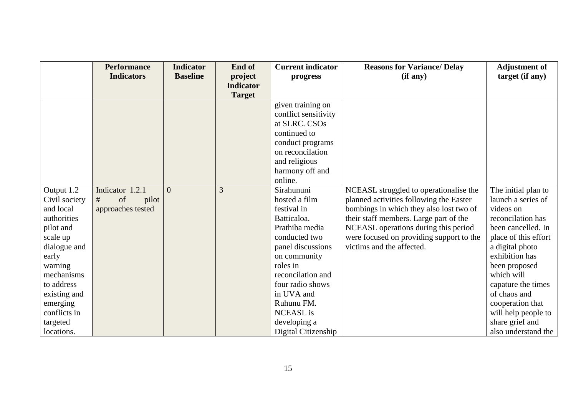|                                                                                                                                                                                                                        | <b>Performance</b><br><b>Indicators</b>                  | <b>Indicator</b><br><b>Baseline</b> | End of<br>project<br><b>Indicator</b><br><b>Target</b> | <b>Current indicator</b><br>progress                                                                                                                                                                                                                                          | <b>Reasons for Variance/ Delay</b><br>(if any)                                                                                                                                                                                                                                          | <b>Adjustment of</b><br>target (if any)                                                                                                                                                                                                                                                                                  |
|------------------------------------------------------------------------------------------------------------------------------------------------------------------------------------------------------------------------|----------------------------------------------------------|-------------------------------------|--------------------------------------------------------|-------------------------------------------------------------------------------------------------------------------------------------------------------------------------------------------------------------------------------------------------------------------------------|-----------------------------------------------------------------------------------------------------------------------------------------------------------------------------------------------------------------------------------------------------------------------------------------|--------------------------------------------------------------------------------------------------------------------------------------------------------------------------------------------------------------------------------------------------------------------------------------------------------------------------|
|                                                                                                                                                                                                                        |                                                          |                                     |                                                        | given training on<br>conflict sensitivity<br>at SLRC. CSOs<br>continued to<br>conduct programs<br>on reconcilation<br>and religious<br>harmony off and<br>online.                                                                                                             |                                                                                                                                                                                                                                                                                         |                                                                                                                                                                                                                                                                                                                          |
| Output 1.2<br>Civil society<br>and local<br>authorities<br>pilot and<br>scale up<br>dialogue and<br>early<br>warning<br>mechanisms<br>to address<br>existing and<br>emerging<br>conflicts in<br>targeted<br>locations. | Indicator 1.2.1<br>of<br>#<br>pilot<br>approaches tested | $\Omega$                            | 3                                                      | Sirahununi<br>hosted a film<br>festival in<br>Batticaloa.<br>Prathiba media<br>conducted two<br>panel discussions<br>on community<br>roles in<br>reconcilation and<br>four radio shows<br>in UVA and<br>Ruhunu FM.<br><b>NCEASL</b> is<br>developing a<br>Digital Citizenship | NCEASL struggled to operationalise the<br>planned activities following the Easter<br>bombings in which they also lost two of<br>their staff members. Large part of the<br>NCEASL operations during this period<br>were focused on providing support to the<br>victims and the affected. | The initial plan to<br>launch a series of<br>videos on<br>reconcilation has<br>been cancelled. In<br>place of this effort<br>a digital photo<br>exhibition has<br>been proposed<br>which will<br>capature the times<br>of chaos and<br>cooperation that<br>will help people to<br>share grief and<br>also understand the |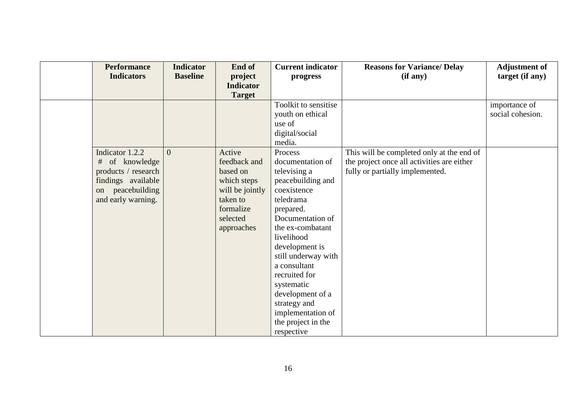| <b>Performance</b>  | <b>Indicator</b> | End of           | <b>Current indicator</b> | <b>Reasons for Variance/ Delay</b>         | <b>Adjustment of</b> |
|---------------------|------------------|------------------|--------------------------|--------------------------------------------|----------------------|
| <b>Indicators</b>   | <b>Baseline</b>  | project          | progress                 | (if any)                                   | target (if any)      |
|                     |                  | <b>Indicator</b> |                          |                                            |                      |
|                     |                  | <b>Target</b>    |                          |                                            |                      |
|                     |                  |                  | Toolkit to sensitise     |                                            | importance of        |
|                     |                  |                  | youth on ethical         |                                            | social cohesion.     |
|                     |                  |                  | use of                   |                                            |                      |
|                     |                  |                  | digital/social           |                                            |                      |
|                     |                  |                  | media.                   |                                            |                      |
| Indicator 1.2.2     | $\Omega$         | Active           | Process                  | This will be completed only at the end of  |                      |
| # of knowledge      |                  | feedback and     | documentation of         | the project once all activities are either |                      |
| products / research |                  | based on         | televising a             | fully or partially implemented.            |                      |
| findings available  |                  | which steps      | peacebuilding and        |                                            |                      |
| peacebuilding<br>on |                  | will be jointly  | coexistence              |                                            |                      |
| and early warning.  |                  | taken to         | teledrama                |                                            |                      |
|                     |                  | formalize        | prepared.                |                                            |                      |
|                     |                  | selected         | Documentation of         |                                            |                      |
|                     |                  | approaches       | the ex-combatant         |                                            |                      |
|                     |                  |                  | livelihood               |                                            |                      |
|                     |                  |                  | development is           |                                            |                      |
|                     |                  |                  | still underway with      |                                            |                      |
|                     |                  |                  | a consultant             |                                            |                      |
|                     |                  |                  | recruited for            |                                            |                      |
|                     |                  |                  | systematic               |                                            |                      |
|                     |                  |                  | development of a         |                                            |                      |
|                     |                  |                  | strategy and             |                                            |                      |
|                     |                  |                  | implementation of        |                                            |                      |
|                     |                  |                  | the project in the       |                                            |                      |
|                     |                  |                  | respective               |                                            |                      |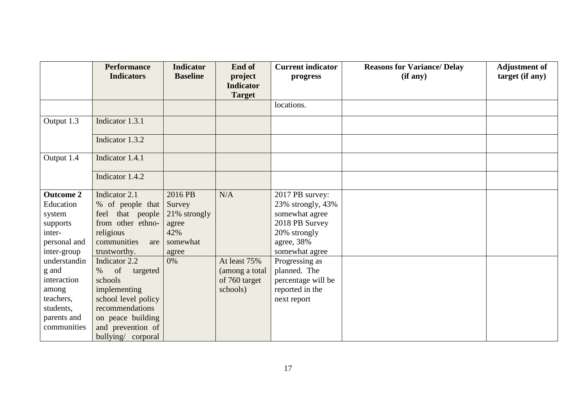|                  | <b>Performance</b>     | <b>Indicator</b> | End of           | <b>Current indicator</b> | <b>Reasons for Variance/ Delay</b> | <b>Adjustment of</b> |
|------------------|------------------------|------------------|------------------|--------------------------|------------------------------------|----------------------|
|                  | <b>Indicators</b>      | <b>Baseline</b>  | project          | progress                 | (if any)                           | target (if any)      |
|                  |                        |                  | <b>Indicator</b> |                          |                                    |                      |
|                  |                        |                  | <b>Target</b>    |                          |                                    |                      |
|                  |                        |                  |                  | locations.               |                                    |                      |
| Output 1.3       | Indicator 1.3.1        |                  |                  |                          |                                    |                      |
|                  | Indicator 1.3.2        |                  |                  |                          |                                    |                      |
| Output 1.4       | Indicator 1.4.1        |                  |                  |                          |                                    |                      |
|                  | Indicator 1.4.2        |                  |                  |                          |                                    |                      |
| <b>Outcome 2</b> | Indicator 2.1          | 2016 PB          | N/A              | 2017 PB survey:          |                                    |                      |
| Education        | % of people that       | Survey           |                  | 23% strongly, 43%        |                                    |                      |
| system           | feel that people       | 21% strongly     |                  | somewhat agree           |                                    |                      |
| supports         | from other ethno-      | agree            |                  | 2018 PB Survey           |                                    |                      |
| inter-           | religious              | 42%              |                  | 20% strongly             |                                    |                      |
| personal and     | communities<br>are     | somewhat         |                  | agree, 38%               |                                    |                      |
| inter-group      | trustworthy.           | agree            |                  | somewhat agree           |                                    |                      |
| understandin     | Indicator 2.2          | 0%               | At least 75%     | Progressing as           |                                    |                      |
| g and            | of<br>$\%$<br>targeted |                  | (among a total   | planned. The             |                                    |                      |
| interaction      | schools                |                  | of 760 target    | percentage will be       |                                    |                      |
| among            | implementing           |                  | schools)         | reported in the          |                                    |                      |
| teachers,        | school level policy    |                  |                  | next report              |                                    |                      |
| students,        | recommendations        |                  |                  |                          |                                    |                      |
| parents and      | on peace building      |                  |                  |                          |                                    |                      |
| communities      | and prevention of      |                  |                  |                          |                                    |                      |
|                  | bullying/ corporal     |                  |                  |                          |                                    |                      |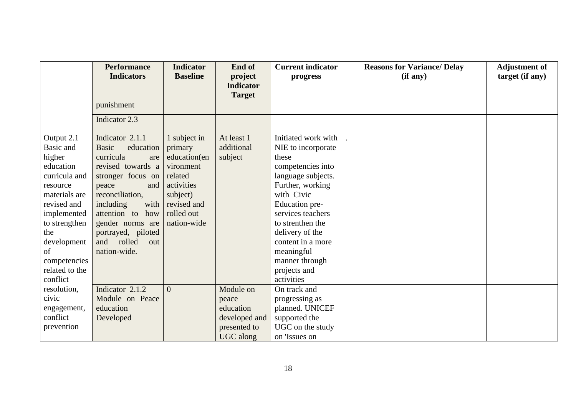|                | <b>Performance</b>        | <b>Indicator</b> | End of           | <b>Current indicator</b> | <b>Reasons for Variance/ Delay</b> | <b>Adjustment of</b> |
|----------------|---------------------------|------------------|------------------|--------------------------|------------------------------------|----------------------|
|                | <b>Indicators</b>         | <b>Baseline</b>  | project          | progress                 | (if any)                           | target (if any)      |
|                |                           |                  | <b>Indicator</b> |                          |                                    |                      |
|                |                           |                  | <b>Target</b>    |                          |                                    |                      |
|                | punishment                |                  |                  |                          |                                    |                      |
|                | Indicator 2.3             |                  |                  |                          |                                    |                      |
| Output 2.1     | Indicator 2.1.1           | 1 subject in     | At least 1       | Initiated work with      |                                    |                      |
| Basic and      | <b>Basic</b><br>education | primary          | additional       | NIE to incorporate       |                                    |                      |
| higher         | curricula<br>are          | education(en     | subject          | these                    |                                    |                      |
| education      | revised towards a         | vironment        |                  | competencies into        |                                    |                      |
| curricula and  | stronger focus on         | related          |                  | language subjects.       |                                    |                      |
| resource       | peace<br>and              | activities       |                  | Further, working         |                                    |                      |
| materials are  | reconciliation,           | subject)         |                  | with Civic               |                                    |                      |
| revised and    | with<br>including         | revised and      |                  | Education pre-           |                                    |                      |
| implemented    | attention to<br>how       | rolled out       |                  | services teachers        |                                    |                      |
| to strengthen  | gender norms are          | nation-wide      |                  | to strenthen the         |                                    |                      |
| the            | portrayed, piloted        |                  |                  | delivery of the          |                                    |                      |
| development    | rolled<br>and<br>out      |                  |                  | content in a more        |                                    |                      |
| of             | nation-wide.              |                  |                  | meaningful               |                                    |                      |
| competencies   |                           |                  |                  | manner through           |                                    |                      |
| related to the |                           |                  |                  | projects and             |                                    |                      |
| conflict       |                           |                  |                  | activities               |                                    |                      |
| resolution,    | Indicator 2.1.2           | $\Omega$         | Module on        | On track and             |                                    |                      |
| civic          | Module on Peace           |                  | peace            | progressing as           |                                    |                      |
| engagement,    | education                 |                  | education        | planned. UNICEF          |                                    |                      |
| conflict       | Developed                 |                  | developed and    | supported the            |                                    |                      |
| prevention     |                           |                  | presented to     | UGC on the study         |                                    |                      |
|                |                           |                  | UGC along        | on 'Issues on            |                                    |                      |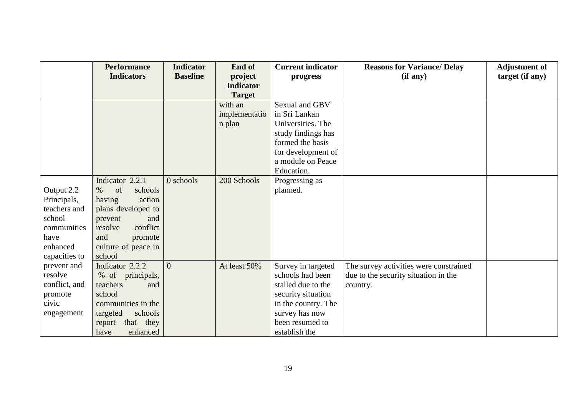|               | <b>Performance</b>    | <b>Indicator</b> | End of           | <b>Current indicator</b> | <b>Reasons for Variance/ Delay</b>     | <b>Adjustment of</b> |
|---------------|-----------------------|------------------|------------------|--------------------------|----------------------------------------|----------------------|
|               | <b>Indicators</b>     | <b>Baseline</b>  | project          | progress                 | (if any)                               | target (if any)      |
|               |                       |                  | <b>Indicator</b> |                          |                                        |                      |
|               |                       |                  | <b>Target</b>    |                          |                                        |                      |
|               |                       |                  | with an          | Sexual and GBV'          |                                        |                      |
|               |                       |                  | implementatio    | in Sri Lankan            |                                        |                      |
|               |                       |                  | n plan           | Universities. The        |                                        |                      |
|               |                       |                  |                  | study findings has       |                                        |                      |
|               |                       |                  |                  | formed the basis         |                                        |                      |
|               |                       |                  |                  | for development of       |                                        |                      |
|               |                       |                  |                  | a module on Peace        |                                        |                      |
|               |                       |                  |                  | Education.               |                                        |                      |
|               | Indicator 2.2.1       | $0$ schools      | 200 Schools      | Progressing as           |                                        |                      |
| Output 2.2    | of<br>$\%$<br>schools |                  |                  | planned.                 |                                        |                      |
| Principals,   | having<br>action      |                  |                  |                          |                                        |                      |
| teachers and  | plans developed to    |                  |                  |                          |                                        |                      |
| school        | prevent<br>and        |                  |                  |                          |                                        |                      |
| communities   | conflict<br>resolve   |                  |                  |                          |                                        |                      |
| have          | and<br>promote        |                  |                  |                          |                                        |                      |
| enhanced      | culture of peace in   |                  |                  |                          |                                        |                      |
| capacities to | school                |                  |                  |                          |                                        |                      |
| prevent and   | Indicator 2.2.2       | $\overline{0}$   | At least 50%     | Survey in targeted       | The survey activities were constrained |                      |
| resolve       | % of principals,      |                  |                  | schools had been         | due to the security situation in the   |                      |
| conflict, and | teachers<br>and       |                  |                  | stalled due to the       | country.                               |                      |
| promote       | school                |                  |                  | security situation       |                                        |                      |
| civic         | communities in the    |                  |                  | in the country. The      |                                        |                      |
| engagement    | schools<br>targeted   |                  |                  | survey has now           |                                        |                      |
|               | that they<br>report   |                  |                  | been resumed to          |                                        |                      |
|               | have<br>enhanced      |                  |                  | establish the            |                                        |                      |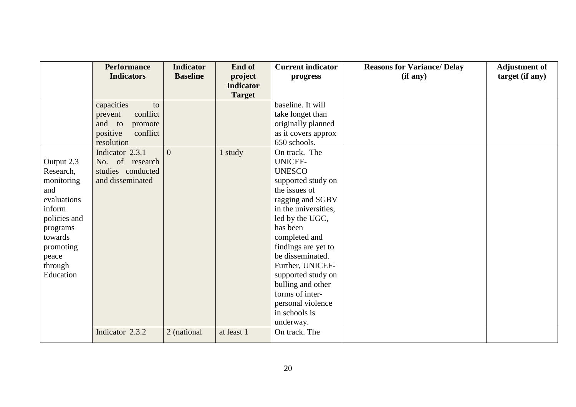|              | <b>Performance</b>   | <b>Indicator</b> | End of           | <b>Current indicator</b> | <b>Reasons for Variance/ Delay</b> | <b>Adjustment of</b> |
|--------------|----------------------|------------------|------------------|--------------------------|------------------------------------|----------------------|
|              | <b>Indicators</b>    | <b>Baseline</b>  | project          | progress                 | (if any)                           | target (if any)      |
|              |                      |                  | <b>Indicator</b> |                          |                                    |                      |
|              |                      |                  | <b>Target</b>    |                          |                                    |                      |
|              | capacities<br>to     |                  |                  | baseline. It will        |                                    |                      |
|              | conflict<br>prevent  |                  |                  | take longet than         |                                    |                      |
|              | and to<br>promote    |                  |                  | originally planned       |                                    |                      |
|              | positive<br>conflict |                  |                  | as it covers approx      |                                    |                      |
|              | resolution           |                  |                  | 650 schools.             |                                    |                      |
|              | Indicator 2.3.1      | $\theta$         | 1 study          | On track. The            |                                    |                      |
| Output 2.3   | No. of research      |                  |                  | <b>UNICEF-</b>           |                                    |                      |
| Research,    | studies conducted    |                  |                  | <b>UNESCO</b>            |                                    |                      |
| monitoring   | and disseminated     |                  |                  | supported study on       |                                    |                      |
| and          |                      |                  |                  | the issues of            |                                    |                      |
| evaluations  |                      |                  |                  | ragging and SGBV         |                                    |                      |
| inform       |                      |                  |                  | in the universities,     |                                    |                      |
| policies and |                      |                  |                  | led by the UGC,          |                                    |                      |
| programs     |                      |                  |                  | has been                 |                                    |                      |
| towards      |                      |                  |                  | completed and            |                                    |                      |
| promoting    |                      |                  |                  | findings are yet to      |                                    |                      |
| peace        |                      |                  |                  | be disseminated.         |                                    |                      |
| through      |                      |                  |                  | Further, UNICEF-         |                                    |                      |
| Education    |                      |                  |                  | supported study on       |                                    |                      |
|              |                      |                  |                  | bulling and other        |                                    |                      |
|              |                      |                  |                  | forms of inter-          |                                    |                      |
|              |                      |                  |                  | personal violence        |                                    |                      |
|              |                      |                  |                  | in schools is            |                                    |                      |
|              |                      |                  |                  | underway.                |                                    |                      |
|              | Indicator 2.3.2      | 2 (national      | at least 1       | On track. The            |                                    |                      |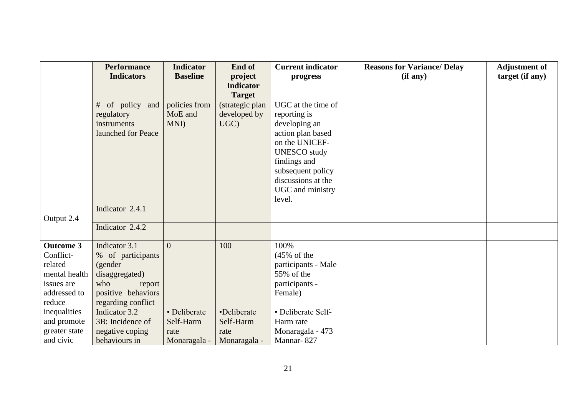|                             | <b>Performance</b>                  | <b>Indicator</b> | End of           | <b>Current indicator</b>          | <b>Reasons for Variance/Delay</b> | <b>Adjustment of</b> |
|-----------------------------|-------------------------------------|------------------|------------------|-----------------------------------|-----------------------------------|----------------------|
|                             | <b>Indicators</b>                   | <b>Baseline</b>  | project          | progress                          | (if any)                          | target (if any)      |
|                             |                                     |                  | <b>Indicator</b> |                                   |                                   |                      |
|                             |                                     |                  | <b>Target</b>    |                                   |                                   |                      |
|                             | # of policy and                     | policies from    | (strategic plan  | UGC at the time of                |                                   |                      |
|                             | regulatory                          | MoE and          | developed by     | reporting is                      |                                   |                      |
|                             | instruments                         | MNI)             | UGC)             | developing an                     |                                   |                      |
|                             | launched for Peace                  |                  |                  | action plan based                 |                                   |                      |
|                             |                                     |                  |                  | on the UNICEF-                    |                                   |                      |
|                             |                                     |                  |                  | <b>UNESCO</b> study               |                                   |                      |
|                             |                                     |                  |                  | findings and<br>subsequent policy |                                   |                      |
|                             |                                     |                  |                  | discussions at the                |                                   |                      |
|                             |                                     |                  |                  | UGC and ministry                  |                                   |                      |
|                             |                                     |                  |                  | level.                            |                                   |                      |
|                             | Indicator 2.4.1                     |                  |                  |                                   |                                   |                      |
| Output 2.4                  |                                     |                  |                  |                                   |                                   |                      |
|                             | Indicator 2.4.2                     |                  |                  |                                   |                                   |                      |
|                             |                                     |                  |                  |                                   |                                   |                      |
| <b>Outcome 3</b>            | Indicator 3.1                       | $\theta$         | 100              | 100%                              |                                   |                      |
| Conflict-                   | % of participants                   |                  |                  | $(45\% \text{ of the})$           |                                   |                      |
| related                     | (gender                             |                  |                  | participants - Male               |                                   |                      |
| mental health               | disaggregated)                      |                  |                  | 55% of the                        |                                   |                      |
| issues are                  | who<br>report                       |                  |                  | participants -                    |                                   |                      |
| addressed to                | positive behaviors                  |                  |                  | Female)                           |                                   |                      |
| reduce                      | regarding conflict<br>Indicator 3.2 | · Deliberate     | •Deliberate      | • Deliberate Self-                |                                   |                      |
| inequalities<br>and promote | 3B: Incidence of                    | Self-Harm        | Self-Harm        | Harm rate                         |                                   |                      |
| greater state               | negative coping                     | rate             | rate             | Monaragala - 473                  |                                   |                      |
| and civic                   | behaviours in                       | Monaragala -     | Monaragala -     | Mannar-827                        |                                   |                      |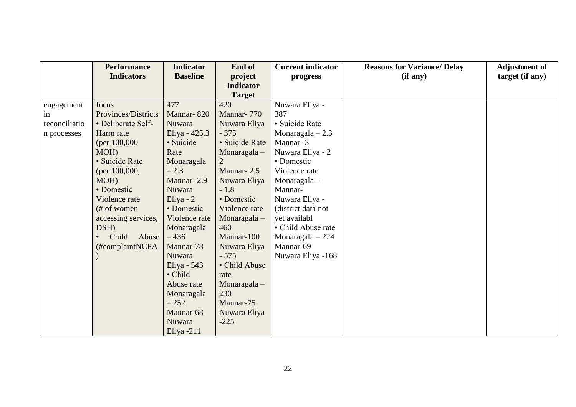|               | <b>Performance</b>  | <b>Indicator</b> | End of           | <b>Current indicator</b> | <b>Reasons for Variance/ Delay</b> | <b>Adjustment of</b> |
|---------------|---------------------|------------------|------------------|--------------------------|------------------------------------|----------------------|
|               | <b>Indicators</b>   | <b>Baseline</b>  | project          | progress                 | (if any)                           | target (if any)      |
|               |                     |                  | <b>Indicator</b> |                          |                                    |                      |
|               |                     |                  | <b>Target</b>    |                          |                                    |                      |
| engagement    | focus               | 477              | 420              | Nuwara Eliya -           |                                    |                      |
| in            | Provinces/Districts | Mannar-820       | Mannar-770       | 387                      |                                    |                      |
| reconciliatio | • Deliberate Self-  | Nuwara           | Nuwara Eliya     | · Suicide Rate           |                                    |                      |
| n processes   | Harm rate           | Eliya - 425.3    | $-375$           | Monaragala $-2.3$        |                                    |                      |
|               | (per $100,000$ )    | · Suicide        | · Suicide Rate   | Mannar-3                 |                                    |                      |
|               | MOH)                | Rate             | Monaragala $-$   | Nuwara Eliya - 2         |                                    |                      |
|               | · Suicide Rate      | Monaragala       |                  | • Domestic               |                                    |                      |
|               | (per $100,000$ ,    | $-2.3$           | Mannar-2.5       | Violence rate            |                                    |                      |
|               | MOH)                | Mannar-2.9       | Nuwara Eliya     | Monaragala $-$           |                                    |                      |
|               | • Domestic          | Nuwara           | $-1.8$           | Mannar-                  |                                    |                      |
|               | Violence rate       | Eliya - $2$      | • Domestic       | Nuwara Eliya -           |                                    |                      |
|               | (# of women         | • Domestic       | Violence rate    | (district data not       |                                    |                      |
|               | accessing services, | Violence rate    | Monaragala $-$   | yet availabl             |                                    |                      |
|               | DSH)                | Monaragala       | 460              | • Child Abuse rate       |                                    |                      |
|               | Child<br>Abuse      | $-436$           | Mannar-100       | Monaragala $-224$        |                                    |                      |
|               | (#complaintNCPA     | Mannar-78        | Nuwara Eliya     | Mannar-69                |                                    |                      |
|               |                     | <b>Nuwara</b>    | $-575$           | Nuwara Eliya -168        |                                    |                      |
|               |                     | Eliya - $543$    | • Child Abuse    |                          |                                    |                      |
|               |                     | · Child          | rate             |                          |                                    |                      |
|               |                     | Abuse rate       | Monaragala $-$   |                          |                                    |                      |
|               |                     | Monaragala       | 230              |                          |                                    |                      |
|               |                     | $-252$           | Mannar-75        |                          |                                    |                      |
|               |                     | Mannar-68        | Nuwara Eliya     |                          |                                    |                      |
|               |                     | Nuwara           | $-225$           |                          |                                    |                      |
|               |                     | Eliya $-211$     |                  |                          |                                    |                      |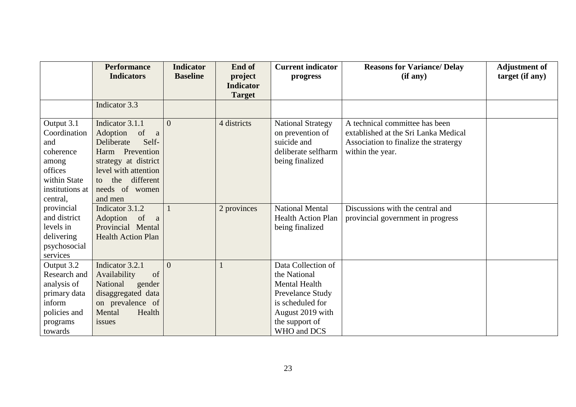|                                                                                                                   | <b>Performance</b><br><b>Indicators</b>                                                                                                                                               | <b>Indicator</b><br><b>Baseline</b> | End of<br>project<br><b>Indicator</b> | <b>Current indicator</b><br>progress                                                                                                                    | <b>Reasons for Variance/ Delay</b><br>(if any)                                                                                      | <b>Adjustment of</b><br>target (if any) |
|-------------------------------------------------------------------------------------------------------------------|---------------------------------------------------------------------------------------------------------------------------------------------------------------------------------------|-------------------------------------|---------------------------------------|---------------------------------------------------------------------------------------------------------------------------------------------------------|-------------------------------------------------------------------------------------------------------------------------------------|-----------------------------------------|
|                                                                                                                   |                                                                                                                                                                                       |                                     | <b>Target</b>                         |                                                                                                                                                         |                                                                                                                                     |                                         |
|                                                                                                                   | Indicator 3.3                                                                                                                                                                         |                                     |                                       |                                                                                                                                                         |                                                                                                                                     |                                         |
| Output 3.1<br>Coordination<br>and<br>coherence<br>among<br>offices<br>within State<br>institutions at<br>central, | Indicator 3.1.1<br>Adoption<br>of a<br>Self-<br>Deliberate<br>Harm Prevention<br>strategy at district<br>level with attention<br>different<br>the<br>to.<br>needs of women<br>and men | $\Omega$                            | 4 districts                           | <b>National Strategy</b><br>on prevention of<br>suicide and<br>deliberate selfharm<br>being finalized                                                   | A technical committee has been<br>extablished at the Sri Lanka Medical<br>Association to finalize the stratergy<br>within the year. |                                         |
| provincial<br>and district<br>levels in<br>delivering<br>psychosocial<br>services                                 | Indicator 3.1.2<br>Adoption of<br><sub>a</sub><br>Provincial Mental<br><b>Health Action Plan</b>                                                                                      | 1                                   | 2 provinces                           | <b>National Mental</b><br><b>Health Action Plan</b><br>being finalized                                                                                  | Discussions with the central and<br>provincial government in progress                                                               |                                         |
| Output 3.2<br>Research and<br>analysis of<br>primary data<br>inform<br>policies and<br>programs<br>towards        | Indicator 3.2.1<br>of<br>Availability<br>National<br>gender<br>disaggregated data<br>on prevalence of<br>Health<br>Mental<br>issues                                                   | $\theta$                            |                                       | Data Collection of<br>the National<br><b>Mental Health</b><br>Prevelance Study<br>is scheduled for<br>August 2019 with<br>the support of<br>WHO and DCS |                                                                                                                                     |                                         |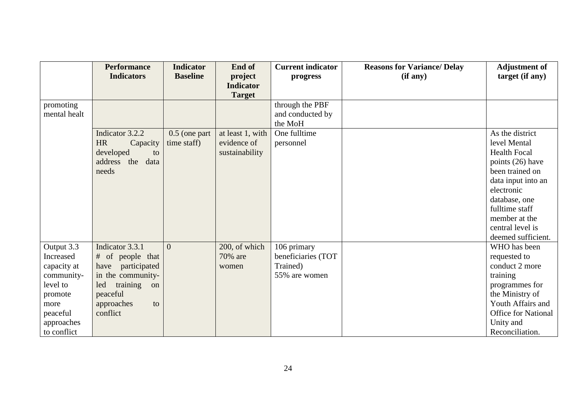|              | <b>Performance</b>    | <b>Indicator</b> | End of           | <b>Current indicator</b> | <b>Reasons for Variance/Delay</b> | <b>Adjustment of</b> |
|--------------|-----------------------|------------------|------------------|--------------------------|-----------------------------------|----------------------|
|              | <b>Indicators</b>     | <b>Baseline</b>  | project          | progress                 | (if any)                          | target (if any)      |
|              |                       |                  | <b>Indicator</b> |                          |                                   |                      |
|              |                       |                  | <b>Target</b>    |                          |                                   |                      |
| promoting    |                       |                  |                  | through the PBF          |                                   |                      |
| mental healt |                       |                  |                  | and conducted by         |                                   |                      |
|              |                       |                  |                  | the MoH                  |                                   |                      |
|              | Indicator 3.2.2       | $0.5$ (one part  | at least 1, with | One fulltime             |                                   | As the district      |
|              | <b>HR</b><br>Capacity | time staff)      | evidence of      | personnel                |                                   | level Mental         |
|              | developed<br>to       |                  | sustainability   |                          |                                   | <b>Health Focal</b>  |
|              | address the<br>data   |                  |                  |                          |                                   | points (26) have     |
|              | needs                 |                  |                  |                          |                                   | been trained on      |
|              |                       |                  |                  |                          |                                   | data input into an   |
|              |                       |                  |                  |                          |                                   | electronic           |
|              |                       |                  |                  |                          |                                   | database, one        |
|              |                       |                  |                  |                          |                                   | fulltime staff       |
|              |                       |                  |                  |                          |                                   | member at the        |
|              |                       |                  |                  |                          |                                   | central level is     |
|              |                       |                  |                  |                          |                                   | deemed sufficient.   |
| Output 3.3   | Indicator 3.3.1       | $\overline{0}$   | 200, of which    | 106 primary              |                                   | WHO has been         |
| Increased    | # of people that      |                  | 70% are          | beneficiaries (TOT       |                                   | requested to         |
| capacity at  | participated<br>have  |                  | women            | Trained)                 |                                   | conduct 2 more       |
| community-   | in the community-     |                  |                  | 55% are women            |                                   | training             |
| level to     | training<br>led<br>on |                  |                  |                          |                                   | programmes for       |
| promote      | peaceful              |                  |                  |                          |                                   | the Ministry of      |
| more         | approaches<br>to      |                  |                  |                          |                                   | Youth Affairs and    |
| peaceful     | conflict              |                  |                  |                          |                                   | Office for National  |
| approaches   |                       |                  |                  |                          |                                   | Unity and            |
| to conflict  |                       |                  |                  |                          |                                   | Reconciliation.      |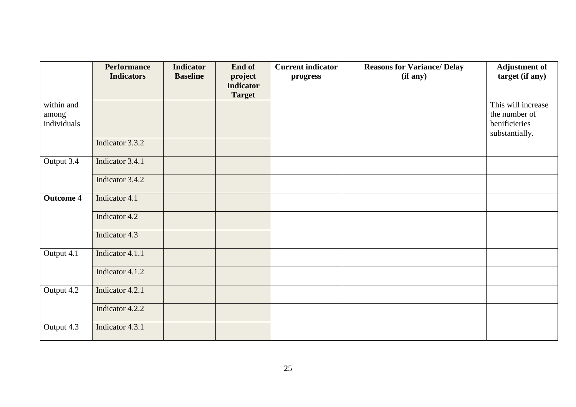|                      | <b>Performance</b> | <b>Indicator</b> | End of                      | <b>Current indicator</b> | <b>Reasons for Variance/ Delay</b> | <b>Adjustment of</b>           |
|----------------------|--------------------|------------------|-----------------------------|--------------------------|------------------------------------|--------------------------------|
|                      | <b>Indicators</b>  | <b>Baseline</b>  | project<br><b>Indicator</b> | progress                 | (if any)                           | target (if any)                |
|                      |                    |                  | <b>Target</b>               |                          |                                    |                                |
| within and           |                    |                  |                             |                          |                                    | This will increase             |
| among<br>individuals |                    |                  |                             |                          |                                    | the number of<br>benificieries |
|                      |                    |                  |                             |                          |                                    | substantially.                 |
|                      | Indicator 3.3.2    |                  |                             |                          |                                    |                                |
| Output 3.4           | Indicator 3.4.1    |                  |                             |                          |                                    |                                |
|                      | Indicator 3.4.2    |                  |                             |                          |                                    |                                |
| <b>Outcome 4</b>     | Indicator 4.1      |                  |                             |                          |                                    |                                |
|                      | Indicator 4.2      |                  |                             |                          |                                    |                                |
|                      | Indicator 4.3      |                  |                             |                          |                                    |                                |
| Output 4.1           | Indicator 4.1.1    |                  |                             |                          |                                    |                                |
|                      | Indicator 4.1.2    |                  |                             |                          |                                    |                                |
| Output 4.2           | Indicator 4.2.1    |                  |                             |                          |                                    |                                |
|                      | Indicator 4.2.2    |                  |                             |                          |                                    |                                |
| Output 4.3           | Indicator 4.3.1    |                  |                             |                          |                                    |                                |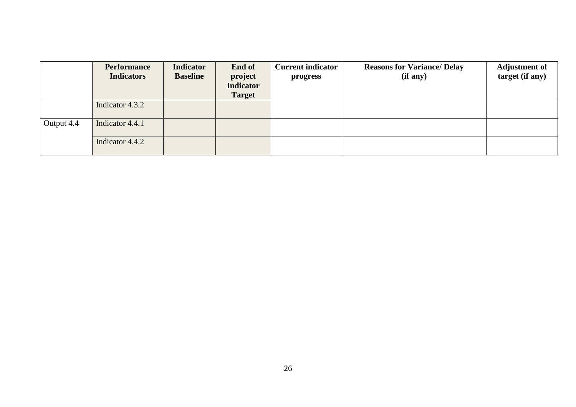|            | <b>Performance</b><br><b>Indicators</b> | <b>Indicator</b><br><b>Baseline</b> | End of<br>project<br>Indicator<br><b>Target</b> | <b>Current indicator</b><br>progress | <b>Reasons for Variance/ Delay</b><br>(if any) | <b>Adjustment of</b><br>target (if any) |
|------------|-----------------------------------------|-------------------------------------|-------------------------------------------------|--------------------------------------|------------------------------------------------|-----------------------------------------|
|            | Indicator 4.3.2                         |                                     |                                                 |                                      |                                                |                                         |
| Output 4.4 | Indicator 4.4.1                         |                                     |                                                 |                                      |                                                |                                         |
|            | Indicator 4.4.2                         |                                     |                                                 |                                      |                                                |                                         |